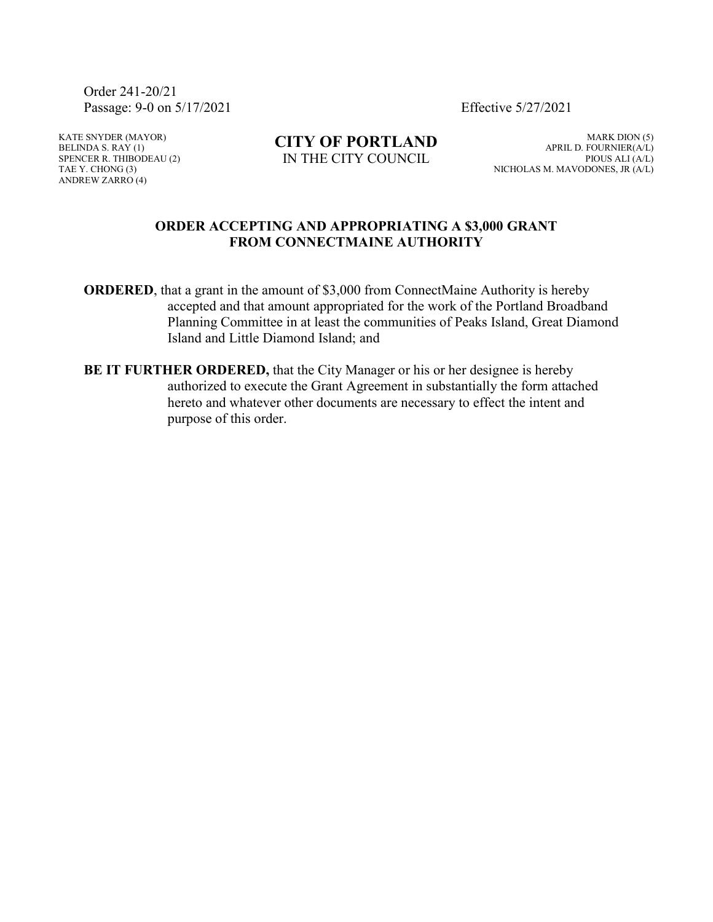Order 241-20/21 Passage: 9-0 on 5/17/2021 Effective 5/27/2021

KATE SNYDER (MAYOR) BELINDA S. RAY  $(1)$ SPENCER R. THIBODEAU (2) TAE Y. CHONG (3) ANDREW ZARRO (4)

**CITY OF PORTLAND** IN THE CITY COUNCIL

MARK DION (5) APRIL D. FOURNIER(A/L) PIOUS ALI (A/L) NICHOLAS M. MAVODONES, JR (A/L)

#### **ORDER ACCEPTING AND APPROPRIATING A \$3,000 GRANT FROM CONNECTMAINE AUTHORITY**

**ORDERED**, that a grant in the amount of \$3,000 from ConnectMaine Authority is hereby accepted and that amount appropriated for the work of the Portland Broadband Planning Committee in at least the communities of Peaks Island, Great Diamond Island and Little Diamond Island; and

**BE IT FURTHER ORDERED,** that the City Manager or his or her designee is hereby authorized to execute the Grant Agreement in substantially the form attached hereto and whatever other documents are necessary to effect the intent and purpose of this order.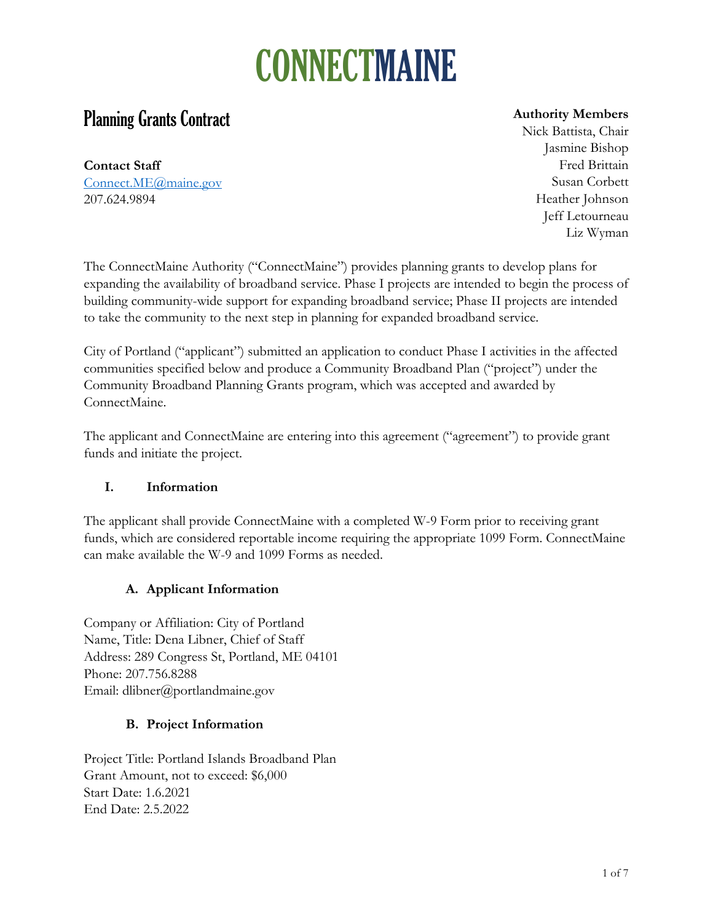### **Planning Grants Contract**

**Contact Staff** [Connect.ME@maine.gov](mailto:Connect.ME@maine.gov) 207.624.9894

#### **Authority Members**

Nick Battista, Chair Jasmine Bishop Fred Brittain Susan Corbett Heather Johnson Jeff Letourneau Liz Wyman

The ConnectMaine Authority ("ConnectMaine") provides planning grants to develop plans for expanding the availability of broadband service. Phase I projects are intended to begin the process of building community-wide support for expanding broadband service; Phase II projects are intended to take the community to the next step in planning for expanded broadband service.

City of Portland ("applicant") submitted an application to conduct Phase I activities in the affected communities specified below and produce a Community Broadband Plan ("project") under the Community Broadband Planning Grants program, which was accepted and awarded by ConnectMaine.

The applicant and ConnectMaine are entering into this agreement ("agreement") to provide grant funds and initiate the project.

#### **I. Information**

The applicant shall provide ConnectMaine with a completed W-9 Form prior to receiving grant funds, which are considered reportable income requiring the appropriate 1099 Form. ConnectMaine can make available the W-9 and 1099 Forms as needed.

### **A. Applicant Information**

Company or Affiliation: City of Portland Name, Title: Dena Libner, Chief of Staff Address: 289 Congress St, Portland, ME 04101 Phone: 207.756.8288 Email: dlibner@portlandmaine.gov

#### **B. Project Information**

Project Title: Portland Islands Broadband Plan Grant Amount, not to exceed: \$6,000 Start Date: 1.6.2021 End Date: 2.5.2022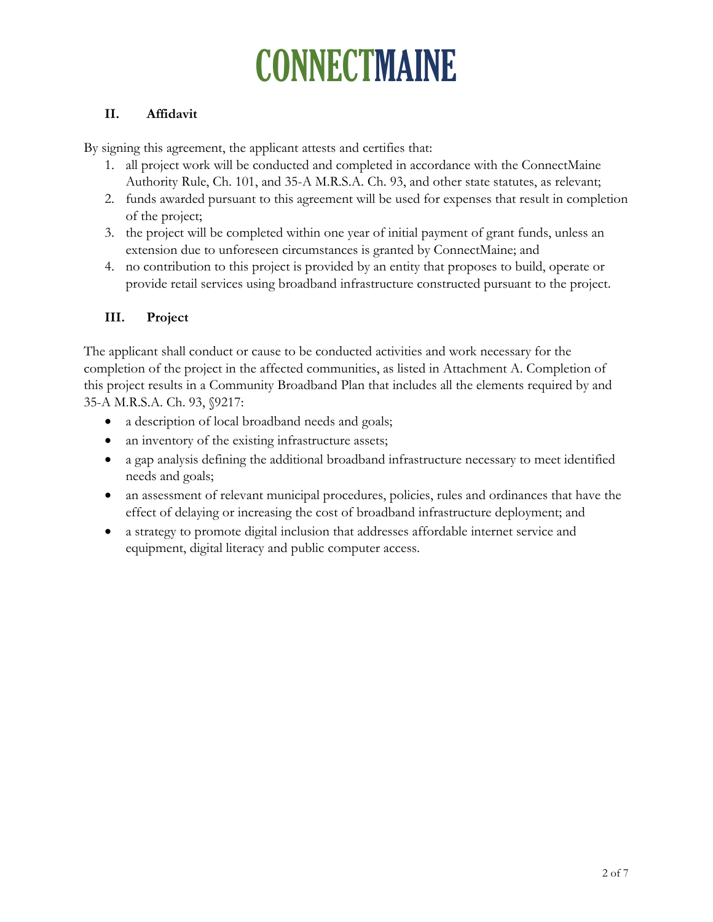#### **II. Affidavit**

By signing this agreement, the applicant attests and certifies that:

- 1. all project work will be conducted and completed in accordance with the ConnectMaine Authority Rule, Ch. 101, and 35-A M.R.S.A. Ch. 93, and other state statutes, as relevant;
- 2. funds awarded pursuant to this agreement will be used for expenses that result in completion of the project;
- 3. the project will be completed within one year of initial payment of grant funds, unless an extension due to unforeseen circumstances is granted by ConnectMaine; and
- 4. no contribution to this project is provided by an entity that proposes to build, operate or provide retail services using broadband infrastructure constructed pursuant to the project.

#### **III. Project**

The applicant shall conduct or cause to be conducted activities and work necessary for the completion of the project in the affected communities, as listed in Attachment A. Completion of this project results in a Community Broadband Plan that includes all the elements required by and 35-A M.R.S.A. Ch. 93, §9217:

- a description of local broadband needs and goals;
- an inventory of the existing infrastructure assets;
- a gap analysis defining the additional broadband infrastructure necessary to meet identified needs and goals;
- an assessment of relevant municipal procedures, policies, rules and ordinances that have the effect of delaying or increasing the cost of broadband infrastructure deployment; and
- a strategy to promote digital inclusion that addresses affordable internet service and equipment, digital literacy and public computer access.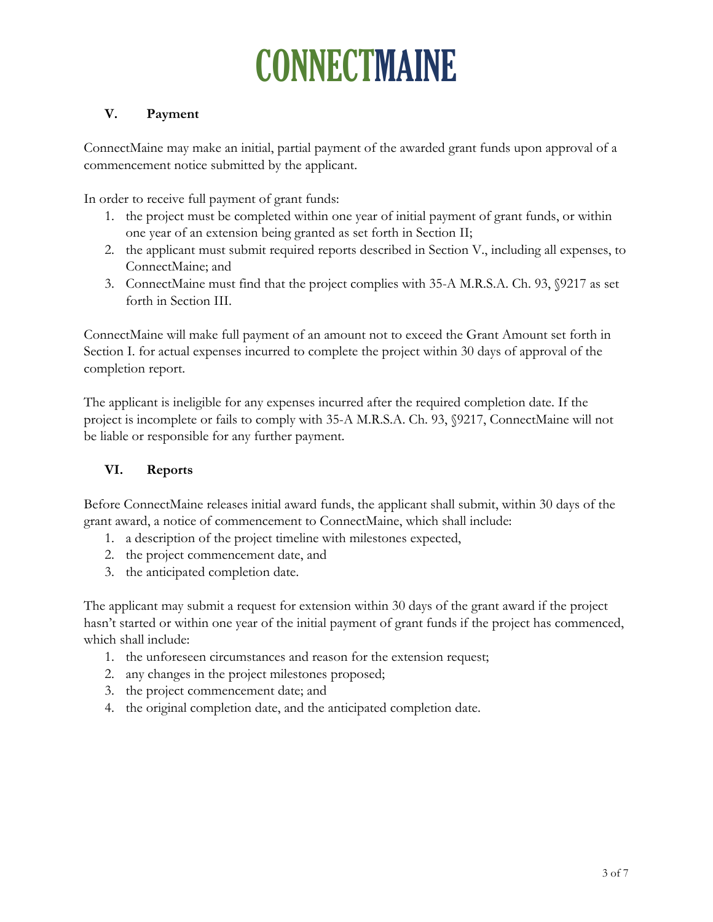### **V. Payment**

ConnectMaine may make an initial, partial payment of the awarded grant funds upon approval of a commencement notice submitted by the applicant.

In order to receive full payment of grant funds:

- 1. the project must be completed within one year of initial payment of grant funds, or within one year of an extension being granted as set forth in Section II;
- 2. the applicant must submit required reports described in Section V., including all expenses, to ConnectMaine; and
- 3. ConnectMaine must find that the project complies with 35-A M.R.S.A. Ch. 93, §9217 as set forth in Section III.

ConnectMaine will make full payment of an amount not to exceed the Grant Amount set forth in Section I. for actual expenses incurred to complete the project within 30 days of approval of the completion report.

The applicant is ineligible for any expenses incurred after the required completion date. If the project is incomplete or fails to comply with 35-A M.R.S.A. Ch. 93, §9217, ConnectMaine will not be liable or responsible for any further payment.

#### **VI. Reports**

Before ConnectMaine releases initial award funds, the applicant shall submit, within 30 days of the grant award, a notice of commencement to ConnectMaine, which shall include:

- 1. a description of the project timeline with milestones expected,
- 2. the project commencement date, and
- 3. the anticipated completion date.

The applicant may submit a request for extension within 30 days of the grant award if the project hasn't started or within one year of the initial payment of grant funds if the project has commenced, which shall include:

- 1. the unforeseen circumstances and reason for the extension request;
- 2. any changes in the project milestones proposed;
- 3. the project commencement date; and
- 4. the original completion date, and the anticipated completion date.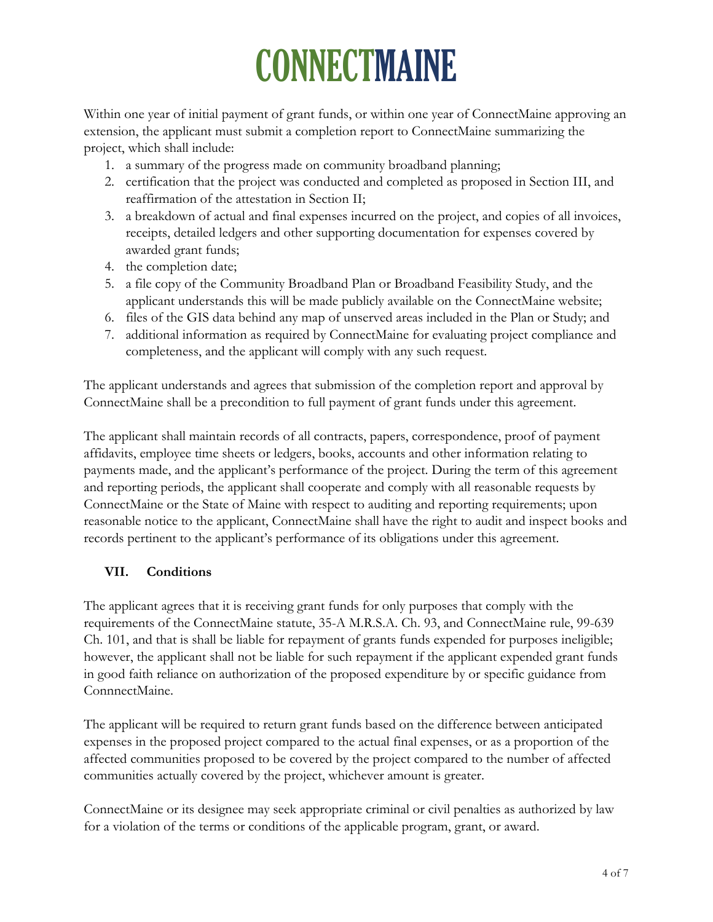Within one year of initial payment of grant funds, or within one year of ConnectMaine approving an extension, the applicant must submit a completion report to ConnectMaine summarizing the project, which shall include:

- 1. a summary of the progress made on community broadband planning;
- 2. certification that the project was conducted and completed as proposed in Section III, and reaffirmation of the attestation in Section II;
- 3. a breakdown of actual and final expenses incurred on the project, and copies of all invoices, receipts, detailed ledgers and other supporting documentation for expenses covered by awarded grant funds;
- 4. the completion date;
- 5. a file copy of the Community Broadband Plan or Broadband Feasibility Study, and the applicant understands this will be made publicly available on the ConnectMaine website;
- 6. files of the GIS data behind any map of unserved areas included in the Plan or Study; and
- 7. additional information as required by ConnectMaine for evaluating project compliance and completeness, and the applicant will comply with any such request.

The applicant understands and agrees that submission of the completion report and approval by ConnectMaine shall be a precondition to full payment of grant funds under this agreement.

The applicant shall maintain records of all contracts, papers, correspondence, proof of payment affidavits, employee time sheets or ledgers, books, accounts and other information relating to payments made, and the applicant's performance of the project. During the term of this agreement and reporting periods, the applicant shall cooperate and comply with all reasonable requests by ConnectMaine or the State of Maine with respect to auditing and reporting requirements; upon reasonable notice to the applicant, ConnectMaine shall have the right to audit and inspect books and records pertinent to the applicant's performance of its obligations under this agreement.

#### **VII. Conditions**

The applicant agrees that it is receiving grant funds for only purposes that comply with the requirements of the ConnectMaine statute, 35-A M.R.S.A. Ch. 93, and ConnectMaine rule, 99-639 Ch. 101, and that is shall be liable for repayment of grants funds expended for purposes ineligible; however, the applicant shall not be liable for such repayment if the applicant expended grant funds in good faith reliance on authorization of the proposed expenditure by or specific guidance from ConnnectMaine.

The applicant will be required to return grant funds based on the difference between anticipated expenses in the proposed project compared to the actual final expenses, or as a proportion of the affected communities proposed to be covered by the project compared to the number of affected communities actually covered by the project, whichever amount is greater.

ConnectMaine or its designee may seek appropriate criminal or civil penalties as authorized by law for a violation of the terms or conditions of the applicable program, grant, or award.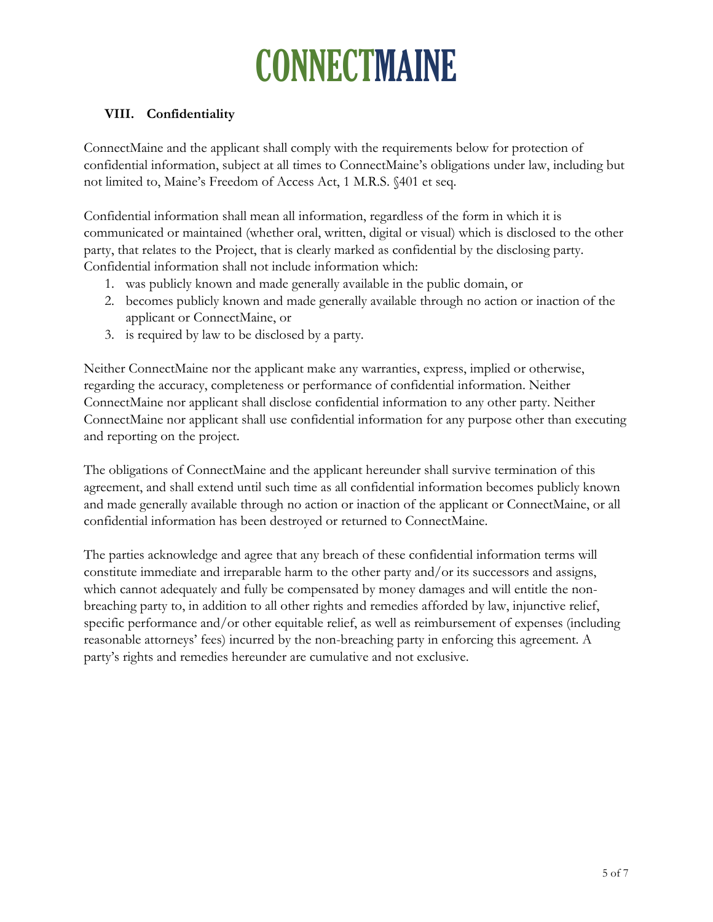#### **VIII. Confidentiality**

ConnectMaine and the applicant shall comply with the requirements below for protection of confidential information, subject at all times to ConnectMaine's obligations under law, including but not limited to, Maine's Freedom of Access Act, 1 M.R.S. §401 et seq.

Confidential information shall mean all information, regardless of the form in which it is communicated or maintained (whether oral, written, digital or visual) which is disclosed to the other party, that relates to the Project, that is clearly marked as confidential by the disclosing party. Confidential information shall not include information which:

- 1. was publicly known and made generally available in the public domain, or
- 2. becomes publicly known and made generally available through no action or inaction of the applicant or ConnectMaine, or
- 3. is required by law to be disclosed by a party.

Neither ConnectMaine nor the applicant make any warranties, express, implied or otherwise, regarding the accuracy, completeness or performance of confidential information. Neither ConnectMaine nor applicant shall disclose confidential information to any other party. Neither ConnectMaine nor applicant shall use confidential information for any purpose other than executing and reporting on the project.

The obligations of ConnectMaine and the applicant hereunder shall survive termination of this agreement, and shall extend until such time as all confidential information becomes publicly known and made generally available through no action or inaction of the applicant or ConnectMaine, or all confidential information has been destroyed or returned to ConnectMaine.

The parties acknowledge and agree that any breach of these confidential information terms will constitute immediate and irreparable harm to the other party and/or its successors and assigns, which cannot adequately and fully be compensated by money damages and will entitle the nonbreaching party to, in addition to all other rights and remedies afforded by law, injunctive relief, specific performance and/or other equitable relief, as well as reimbursement of expenses (including reasonable attorneys' fees) incurred by the non-breaching party in enforcing this agreement. A party's rights and remedies hereunder are cumulative and not exclusive.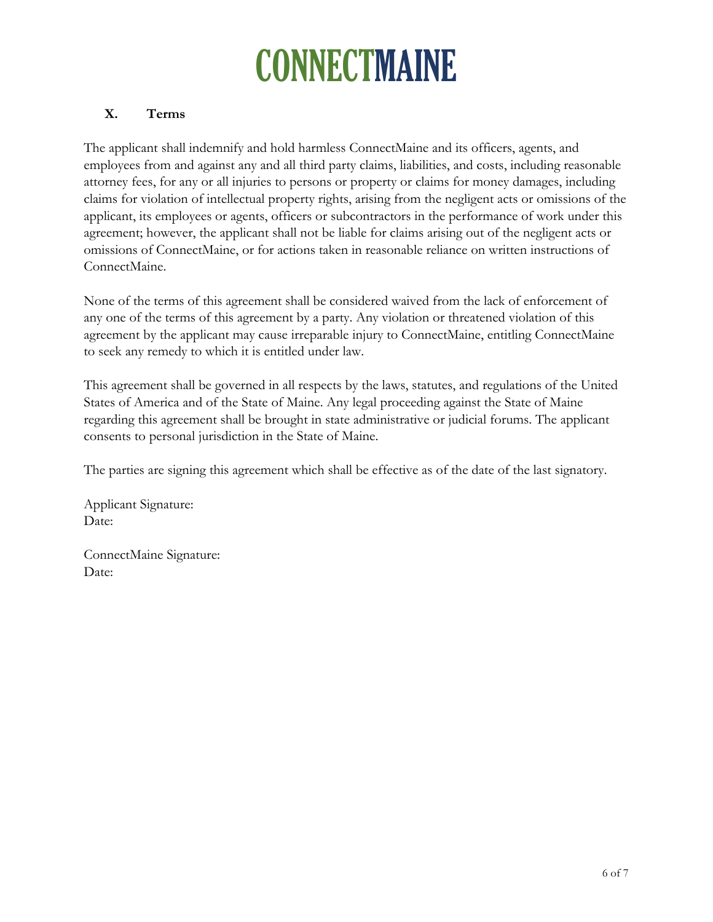#### **X. Terms**

The applicant shall indemnify and hold harmless ConnectMaine and its officers, agents, and employees from and against any and all third party claims, liabilities, and costs, including reasonable attorney fees, for any or all injuries to persons or property or claims for money damages, including claims for violation of intellectual property rights, arising from the negligent acts or omissions of the applicant, its employees or agents, officers or subcontractors in the performance of work under this agreement; however, the applicant shall not be liable for claims arising out of the negligent acts or omissions of ConnectMaine, or for actions taken in reasonable reliance on written instructions of ConnectMaine.

None of the terms of this agreement shall be considered waived from the lack of enforcement of any one of the terms of this agreement by a party. Any violation or threatened violation of this agreement by the applicant may cause irreparable injury to ConnectMaine, entitling ConnectMaine to seek any remedy to which it is entitled under law.

This agreement shall be governed in all respects by the laws, statutes, and regulations of the United States of America and of the State of Maine. Any legal proceeding against the State of Maine regarding this agreement shall be brought in state administrative or judicial forums. The applicant consents to personal jurisdiction in the State of Maine.

The parties are signing this agreement which shall be effective as of the date of the last signatory.

Applicant Signature: Date:

ConnectMaine Signature: Date: